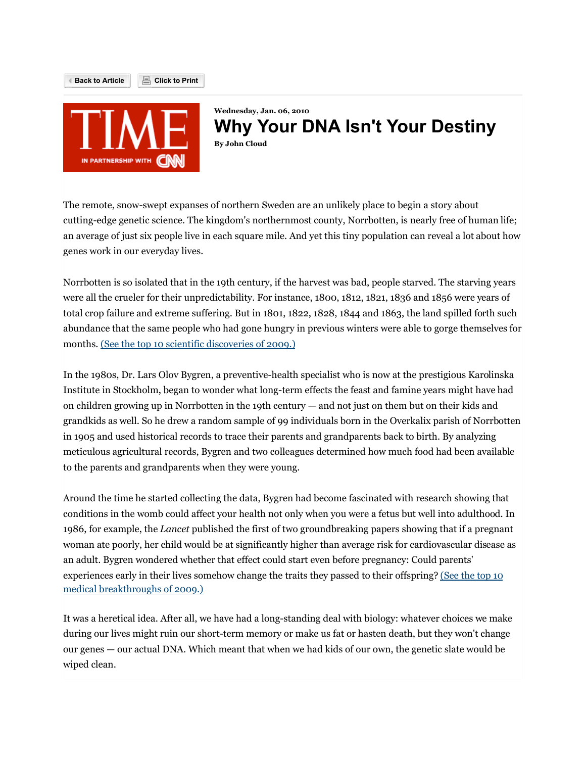

**Back to Article Click to Print**

**Wednesday, Jan. 06, 2010 Why Your DNA Isn't Your Destiny By John Cloud**

The remote, snow-swept expanses of northern Sweden are an unlikely place to begin a story about cutting-edge genetic science. The kingdom's northernmost county, Norrbotten, is nearly free of human life; an average of just six people live in each square mile. And yet this tiny population can reveal a lot about how genes work in our everyday lives.

Norrbotten is so isolated that in the 19th century, if the harvest was bad, people starved. The starving years were all the crueler for their unpredictability. For instance, 1800, 1812, 1821, 1836 and 1856 were years of total crop failure and extreme suffering. But in 1801, 1822, 1828, 1844 and 1863, the land spilled forth such abundance that the same people who had gone hungry in previous winters were able to gorge themselves for months. (See the top 10 scientific discoveries of 2009.)

In the 1980s, Dr. Lars Olov Bygren, a preventive-health specialist who is now at the prestigious Karolinska Institute in Stockholm, began to wonder what long-term effects the feast and famine years might have had on children growing up in Norrbotten in the 19th century — and not just on them but on their kids and grandkids as well. So he drew a random sample of 99 individuals born in the Overkalix parish of Norrbotten in 1905 and used historical records to trace their parents and grandparents back to birth. By analyzing meticulous agricultural records, Bygren and two colleagues determined how much food had been available to the parents and grandparents when they were young.

Around the time he started collecting the data, Bygren had become fascinated with research showing that conditions in the womb could affect your health not only when you were a fetus but well into adulthood. In 1986, for example, the *Lancet* published the first of two groundbreaking papers showing that if a pregnant woman ate poorly, her child would be at significantly higher than average risk for cardiovascular disease as an adult. Bygren wondered whether that effect could start even before pregnancy: Could parents' experiences early in their lives somehow change the traits they passed to their offspring? (See the top 10 medical breakthroughs of 2009.)

It was a heretical idea. After all, we have had a long-standing deal with biology: whatever choices we make during our lives might ruin our short-term memory or make us fat or hasten death, but they won't change our genes — our actual DNA. Which meant that when we had kids of our own, the genetic slate would be wiped clean.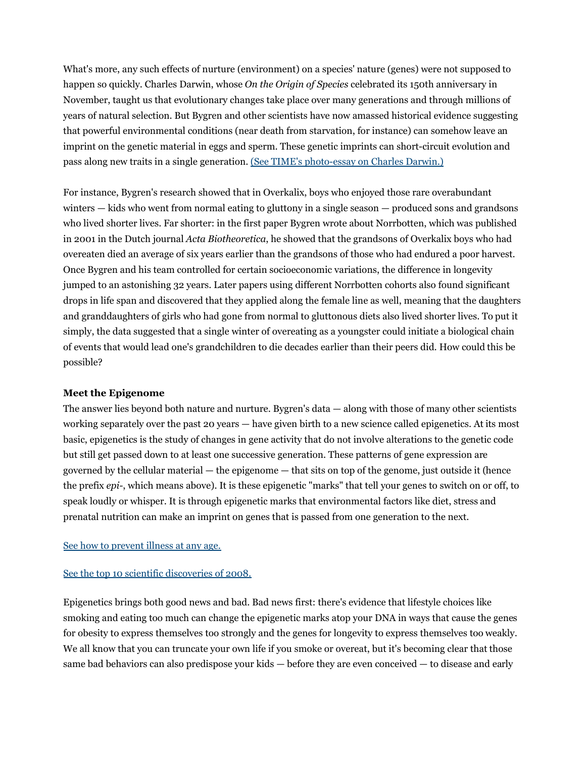What's more, any such effects of nurture (environment) on a species' nature (genes) were not supposed to happen so quickly. Charles Darwin, whose *On the Origin of Species* celebrated its 150th anniversary in November, taught us that evolutionary changes take place over many generations and through millions of years of natural selection. But Bygren and other scientists have now amassed historical evidence suggesting that powerful environmental conditions (near death from starvation, for instance) can somehow leave an imprint on the genetic material in eggs and sperm. These genetic imprints can short-circuit evolution and pass along new traits in a single generation. (See TIME's photo-essay on Charles Darwin.)

For instance, Bygren's research showed that in Overkalix, boys who enjoyed those rare overabundant winters — kids who went from normal eating to gluttony in a single season — produced sons and grandsons who lived shorter lives. Far shorter: in the first paper Bygren wrote about Norrbotten, which was published in 2001 in the Dutch journal *Acta Biotheoretica*, he showed that the grandsons of Overkalix boys who had overeaten died an average of six years earlier than the grandsons of those who had endured a poor harvest. Once Bygren and his team controlled for certain socioeconomic variations, the difference in longevity jumped to an astonishing 32 years. Later papers using different Norrbotten cohorts also found significant drops in life span and discovered that they applied along the female line as well, meaning that the daughters and granddaughters of girls who had gone from normal to gluttonous diets also lived shorter lives. To put it simply, the data suggested that a single winter of overeating as a youngster could initiate a biological chain of events that would lead one's grandchildren to die decades earlier than their peers did. How could this be possible?

## **Meet the Epigenome**

The answer lies beyond both nature and nurture. Bygren's data — along with those of many other scientists working separately over the past 20 years — have given birth to a new science called epigenetics. At its most basic, epigenetics is the study of changes in gene activity that do not involve alterations to the genetic code but still get passed down to at least one successive generation. These patterns of gene expression are governed by the cellular material — the epigenome — that sits on top of the genome, just outside it (hence the prefix *epi-*, which means above). It is these epigenetic "marks" that tell your genes to switch on or off, to speak loudly or whisper. It is through epigenetic marks that environmental factors like diet, stress and prenatal nutrition can make an imprint on genes that is passed from one generation to the next.

#### See how to prevent illness at any age.

#### See the top 10 scientific discoveries of 2008.

Epigenetics brings both good news and bad. Bad news first: there's evidence that lifestyle choices like smoking and eating too much can change the epigenetic marks atop your DNA in ways that cause the genes for obesity to express themselves too strongly and the genes for longevity to express themselves too weakly. We all know that you can truncate your own life if you smoke or overeat, but it's becoming clear that those same bad behaviors can also predispose your kids — before they are even conceived — to disease and early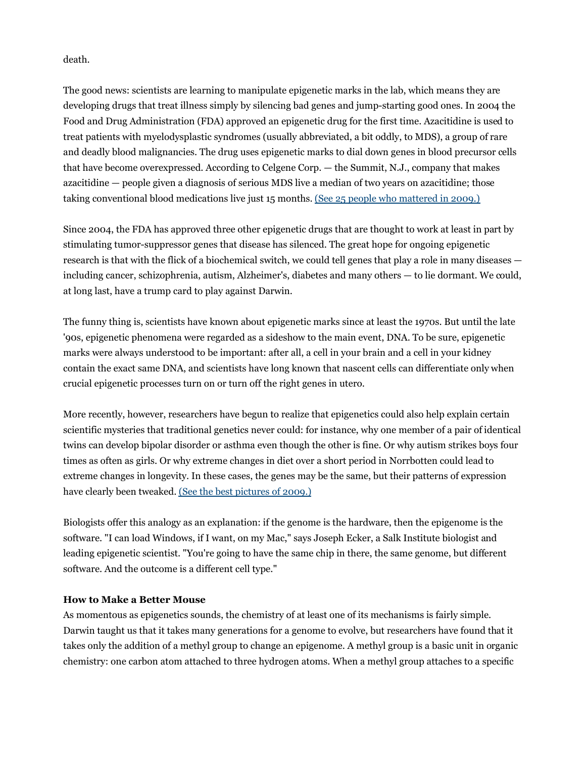death.

The good news: scientists are learning to manipulate epigenetic marks in the lab, which means they are developing drugs that treat illness simply by silencing bad genes and jump-starting good ones. In 2004 the Food and Drug Administration (FDA) approved an epigenetic drug for the first time. Azacitidine is used to treat patients with myelodysplastic syndromes (usually abbreviated, a bit oddly, to MDS), a group of rare and deadly blood malignancies. The drug uses epigenetic marks to dial down genes in blood precursor cells that have become overexpressed. According to Celgene Corp. — the Summit, N.J., company that makes azacitidine — people given a diagnosis of serious MDS live a median of two years on azacitidine; those taking conventional blood medications live just 15 months. (See 25 people who mattered in 2009.)

Since 2004, the FDA has approved three other epigenetic drugs that are thought to work at least in part by stimulating tumor-suppressor genes that disease has silenced. The great hope for ongoing epigenetic research is that with the flick of a biochemical switch, we could tell genes that play a role in many diseases including cancer, schizophrenia, autism, Alzheimer's, diabetes and many others — to lie dormant. We could, at long last, have a trump card to play against Darwin.

The funny thing is, scientists have known about epigenetic marks since at least the 1970s. But until the late '90s, epigenetic phenomena were regarded as a sideshow to the main event, DNA. To be sure, epigenetic marks were always understood to be important: after all, a cell in your brain and a cell in your kidney contain the exact same DNA, and scientists have long known that nascent cells can differentiate only when crucial epigenetic processes turn on or turn off the right genes in utero.

More recently, however, researchers have begun to realize that epigenetics could also help explain certain scientific mysteries that traditional genetics never could: for instance, why one member of a pair of identical twins can develop bipolar disorder or asthma even though the other is fine. Or why autism strikes boys four times as often as girls. Or why extreme changes in diet over a short period in Norrbotten could lead to extreme changes in longevity. In these cases, the genes may be the same, but their patterns of expression have clearly been tweaked. (See the best pictures of 2009.)

Biologists offer this analogy as an explanation: if the genome is the hardware, then the epigenome is the software. "I can load Windows, if I want, on my Mac," says Joseph Ecker, a Salk Institute biologist and leading epigenetic scientist. "You're going to have the same chip in there, the same genome, but different software. And the outcome is a different cell type."

## **How to Make a Better Mouse**

As momentous as epigenetics sounds, the chemistry of at least one of its mechanisms is fairly simple. Darwin taught us that it takes many generations for a genome to evolve, but researchers have found that it takes only the addition of a methyl group to change an epigenome. A methyl group is a basic unit in organic chemistry: one carbon atom attached to three hydrogen atoms. When a methyl group attaches to a specific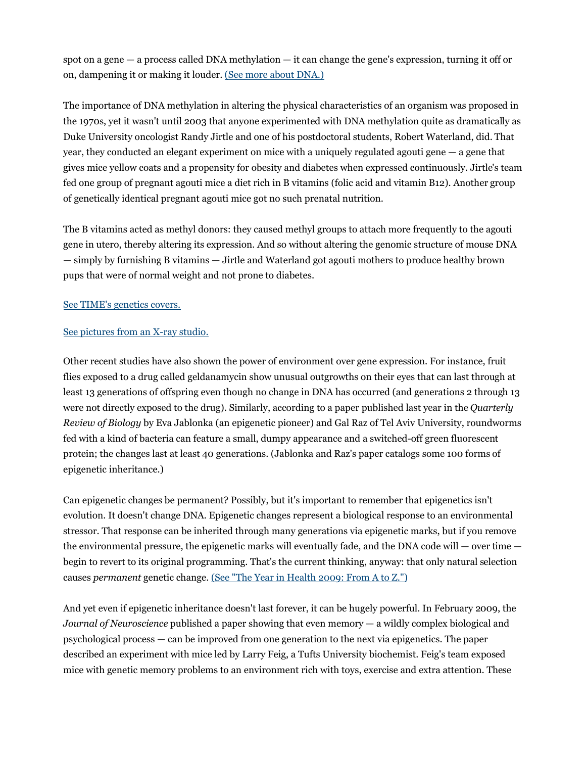spot on a gene — a process called DNA methylation — it can change the gene's expression, turning it off or on, dampening it or making it louder. (See more about DNA.)

The importance of DNA methylation in altering the physical characteristics of an organism was proposed in the 1970s, yet it wasn't until 2003 that anyone experimented with DNA methylation quite as dramatically as Duke University oncologist Randy Jirtle and one of his postdoctoral students, Robert Waterland, did. That year, they conducted an elegant experiment on mice with a uniquely regulated agouti gene — a gene that gives mice yellow coats and a propensity for obesity and diabetes when expressed continuously. Jirtle's team fed one group of pregnant agouti mice a diet rich in B vitamins (folic acid and vitamin B12). Another group of genetically identical pregnant agouti mice got no such prenatal nutrition.

The B vitamins acted as methyl donors: they caused methyl groups to attach more frequently to the agouti gene in utero, thereby altering its expression. And so without altering the genomic structure of mouse DNA — simply by furnishing B vitamins — Jirtle and Waterland got agouti mothers to produce healthy brown pups that were of normal weight and not prone to diabetes.

## See TIME's genetics covers.

## See pictures from an X-ray studio.

Other recent studies have also shown the power of environment over gene expression. For instance, fruit flies exposed to a drug called geldanamycin show unusual outgrowths on their eyes that can last through at least 13 generations of offspring even though no change in DNA has occurred (and generations 2 through 13 were not directly exposed to the drug). Similarly, according to a paper published last year in the *Quarterly Review of Biology* by Eva Jablonka (an epigenetic pioneer) and Gal Raz of Tel Aviv University, roundworms fed with a kind of bacteria can feature a small, dumpy appearance and a switched-off green fluorescent protein; the changes last at least 40 generations. (Jablonka and Raz's paper catalogs some 100 forms of epigenetic inheritance.)

Can epigenetic changes be permanent? Possibly, but it's important to remember that epigenetics isn't evolution. It doesn't change DNA. Epigenetic changes represent a biological response to an environmental stressor. That response can be inherited through many generations via epigenetic marks, but if you remove the environmental pressure, the epigenetic marks will eventually fade, and the DNA code will — over time begin to revert to its original programming. That's the current thinking, anyway: that only natural selection causes *permanent* genetic change. (See "The Year in Health 2009: From A to Z.")

And yet even if epigenetic inheritance doesn't last forever, it can be hugely powerful. In February 2009, the *Journal of Neuroscience* published a paper showing that even memory — a wildly complex biological and psychological process — can be improved from one generation to the next via epigenetics. The paper described an experiment with mice led by Larry Feig, a Tufts University biochemist. Feig's team exposed mice with genetic memory problems to an environment rich with toys, exercise and extra attention. These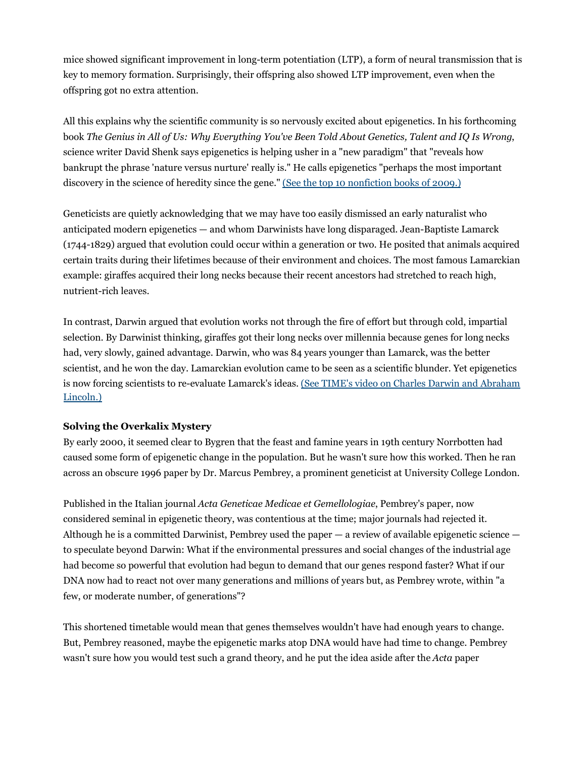mice showed significant improvement in long-term potentiation (LTP), a form of neural transmission that is key to memory formation. Surprisingly, their offspring also showed LTP improvement, even when the offspring got no extra attention.

All this explains why the scientific community is so nervously excited about epigenetics. In his forthcoming book *The Genius in All of Us: Why Everything You've Been Told About Genetics, Talent and IQ Is Wrong*, science writer David Shenk says epigenetics is helping usher in a "new paradigm" that "reveals how bankrupt the phrase 'nature versus nurture' really is." He calls epigenetics "perhaps the most important discovery in the science of heredity since the gene." (See the top 10 nonfiction books of 2009.)

Geneticists are quietly acknowledging that we may have too easily dismissed an early naturalist who anticipated modern epigenetics — and whom Darwinists have long disparaged. Jean-Baptiste Lamarck (1744-1829) argued that evolution could occur within a generation or two. He posited that animals acquired certain traits during their lifetimes because of their environment and choices. The most famous Lamarckian example: giraffes acquired their long necks because their recent ancestors had stretched to reach high, nutrient-rich leaves.

In contrast, Darwin argued that evolution works not through the fire of effort but through cold, impartial selection. By Darwinist thinking, giraffes got their long necks over millennia because genes for long necks had, very slowly, gained advantage. Darwin, who was 84 years younger than Lamarck, was the better scientist, and he won the day. Lamarckian evolution came to be seen as a scientific blunder. Yet epigenetics is now forcing scientists to re-evaluate Lamarck's ideas. (See TIME's video on Charles Darwin and Abraham Lincoln.)

## **Solving the Overkalix Mystery**

By early 2000, it seemed clear to Bygren that the feast and famine years in 19th century Norrbotten had caused some form of epigenetic change in the population. But he wasn't sure how this worked. Then he ran across an obscure 1996 paper by Dr. Marcus Pembrey, a prominent geneticist at University College London.

Published in the Italian journal *Acta Geneticae Medicae et Gemellologiae*, Pembrey's paper, now considered seminal in epigenetic theory, was contentious at the time; major journals had rejected it. Although he is a committed Darwinist, Pembrey used the paper — a review of available epigenetic science to speculate beyond Darwin: What if the environmental pressures and social changes of the industrial age had become so powerful that evolution had begun to demand that our genes respond faster? What if our DNA now had to react not over many generations and millions of years but, as Pembrey wrote, within "a few, or moderate number, of generations"?

This shortened timetable would mean that genes themselves wouldn't have had enough years to change. But, Pembrey reasoned, maybe the epigenetic marks atop DNA would have had time to change. Pembrey wasn't sure how you would test such a grand theory, and he put the idea aside after the *Acta* paper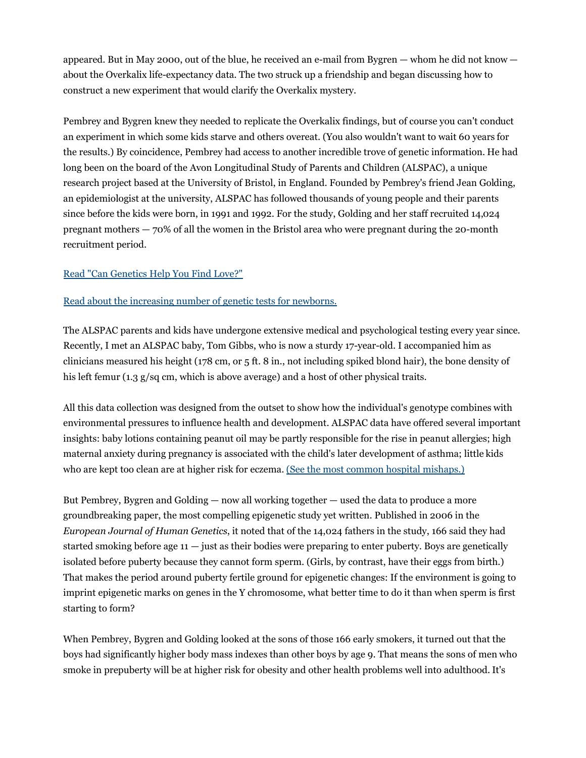appeared. But in May 2000, out of the blue, he received an e-mail from Bygren — whom he did not know about the Overkalix life-expectancy data. The two struck up a friendship and began discussing how to construct a new experiment that would clarify the Overkalix mystery.

Pembrey and Bygren knew they needed to replicate the Overkalix findings, but of course you can't conduct an experiment in which some kids starve and others overeat. (You also wouldn't want to wait 60 years for the results.) By coincidence, Pembrey had access to another incredible trove of genetic information. He had long been on the board of the Avon Longitudinal Study of Parents and Children (ALSPAC), a unique research project based at the University of Bristol, in England. Founded by Pembrey's friend Jean Golding, an epidemiologist at the university, ALSPAC has followed thousands of young people and their parents since before the kids were born, in 1991 and 1992. For the study, Golding and her staff recruited 14,024 pregnant mothers — 70% of all the women in the Bristol area who were pregnant during the 20-month recruitment period.

# Read "Can Genetics Help You Find Love?"

## Read about the increasing number of genetic tests for newborns.

The ALSPAC parents and kids have undergone extensive medical and psychological testing every year since. Recently, I met an ALSPAC baby, Tom Gibbs, who is now a sturdy 17-year-old. I accompanied him as clinicians measured his height (178 cm, or 5 ft. 8 in., not including spiked blond hair), the bone density of his left femur (1.3 g/sq cm, which is above average) and a host of other physical traits.

All this data collection was designed from the outset to show how the individual's genotype combines with environmental pressures to influence health and development. ALSPAC data have offered several important insights: baby lotions containing peanut oil may be partly responsible for the rise in peanut allergies; high maternal anxiety during pregnancy is associated with the child's later development of asthma; little kids who are kept too clean are at higher risk for eczema. (See the most common hospital mishaps.)

But Pembrey, Bygren and Golding — now all working together — used the data to produce a more groundbreaking paper, the most compelling epigenetic study yet written. Published in 2006 in the *European Journal of Human Genetics*, it noted that of the 14,024 fathers in the study, 166 said they had started smoking before age 11 — just as their bodies were preparing to enter puberty. Boys are genetically isolated before puberty because they cannot form sperm. (Girls, by contrast, have their eggs from birth.) That makes the period around puberty fertile ground for epigenetic changes: If the environment is going to imprint epigenetic marks on genes in the Y chromosome, what better time to do it than when sperm is first starting to form?

When Pembrey, Bygren and Golding looked at the sons of those 166 early smokers, it turned out that the boys had significantly higher body mass indexes than other boys by age 9. That means the sons of men who smoke in prepuberty will be at higher risk for obesity and other health problems well into adulthood. It's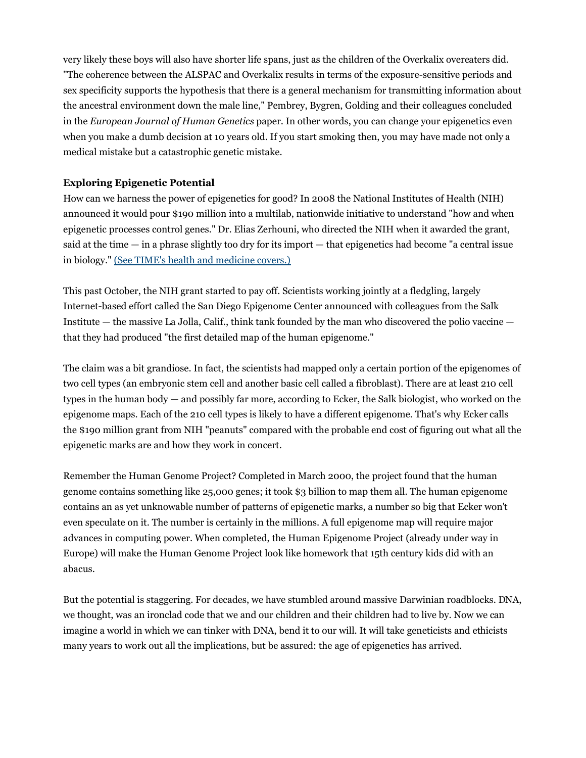very likely these boys will also have shorter life spans, just as the children of the Overkalix overeaters did. "The coherence between the ALSPAC and Overkalix results in terms of the exposure-sensitive periods and sex specificity supports the hypothesis that there is a general mechanism for transmitting information about the ancestral environment down the male line," Pembrey, Bygren, Golding and their colleagues concluded in the *European Journal of Human Genetics* paper. In other words, you can change your epigenetics even when you make a dumb decision at 10 years old. If you start smoking then, you may have made not only a medical mistake but a catastrophic genetic mistake.

# **Exploring Epigenetic Potential**

How can we harness the power of epigenetics for good? In 2008 the National Institutes of Health (NIH) announced it would pour \$190 million into a multilab, nationwide initiative to understand "how and when epigenetic processes control genes." Dr. Elias Zerhouni, who directed the NIH when it awarded the grant, said at the time — in a phrase slightly too dry for its import — that epigenetics had become "a central issue in biology." (See TIME's health and medicine covers.)

This past October, the NIH grant started to pay off. Scientists working jointly at a fledgling, largely Internet-based effort called the San Diego Epigenome Center announced with colleagues from the Salk Institute — the massive La Jolla, Calif., think tank founded by the man who discovered the polio vaccine that they had produced "the first detailed map of the human epigenome."

The claim was a bit grandiose. In fact, the scientists had mapped only a certain portion of the epigenomes of two cell types (an embryonic stem cell and another basic cell called a fibroblast). There are at least 210 cell types in the human body — and possibly far more, according to Ecker, the Salk biologist, who worked on the epigenome maps. Each of the 210 cell types is likely to have a different epigenome. That's why Ecker calls the \$190 million grant from NIH "peanuts" compared with the probable end cost of figuring out what all the epigenetic marks are and how they work in concert.

Remember the Human Genome Project? Completed in March 2000, the project found that the human genome contains something like 25,000 genes; it took \$3 billion to map them all. The human epigenome contains an as yet unknowable number of patterns of epigenetic marks, a number so big that Ecker won't even speculate on it. The number is certainly in the millions. A full epigenome map will require major advances in computing power. When completed, the Human Epigenome Project (already under way in Europe) will make the Human Genome Project look like homework that 15th century kids did with an abacus.

But the potential is staggering. For decades, we have stumbled around massive Darwinian roadblocks. DNA, we thought, was an ironclad code that we and our children and their children had to live by. Now we can imagine a world in which we can tinker with DNA, bend it to our will. It will take geneticists and ethicists many years to work out all the implications, but be assured: the age of epigenetics has arrived.